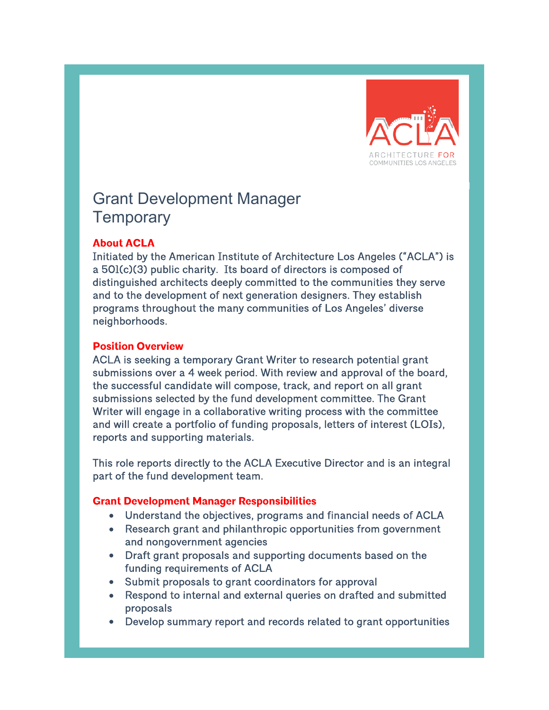

# Grant Development Manager **Temporary**

#### **About ACLA**

Initiated by the American Institute of Architecture Los Angeles ("ACLA") is a 501(c)(3) public charity. Its board of directors is composed of distinguished architects deeply committed to the communities they serve and to the development of next generation designers. They establish programs throughout the many communities of Los Angeles' diverse neighborhoods.

#### **Position Overview**

ACLA is seeking a temporary Grant Writer to research potential grant submissions over a 4 week period. With review and approval of the board, the successful candidate will compose, track, and report on all grant submissions selected by the fund development committee. The Grant Writer will engage in a collaborative writing process with the committee and will create a portfolio of funding proposals, letters of interest (LOIs), reports and supporting materials.

This role reports directly to the ACLA Executive Director and is an integral part of the fund development team.

#### **Grant Development Manager Responsibilities**

- Understand the objectives, programs and financial needs of ACLA
- Research grant and philanthropic opportunities from government and nongovernment agencies
- Draft grant proposals and supporting documents based on the funding requirements of ACLA
- Submit proposals to grant coordinators for approval
- Respond to internal and external queries on drafted and submitted proposals
- Develop summary report and records related to grant opportunities